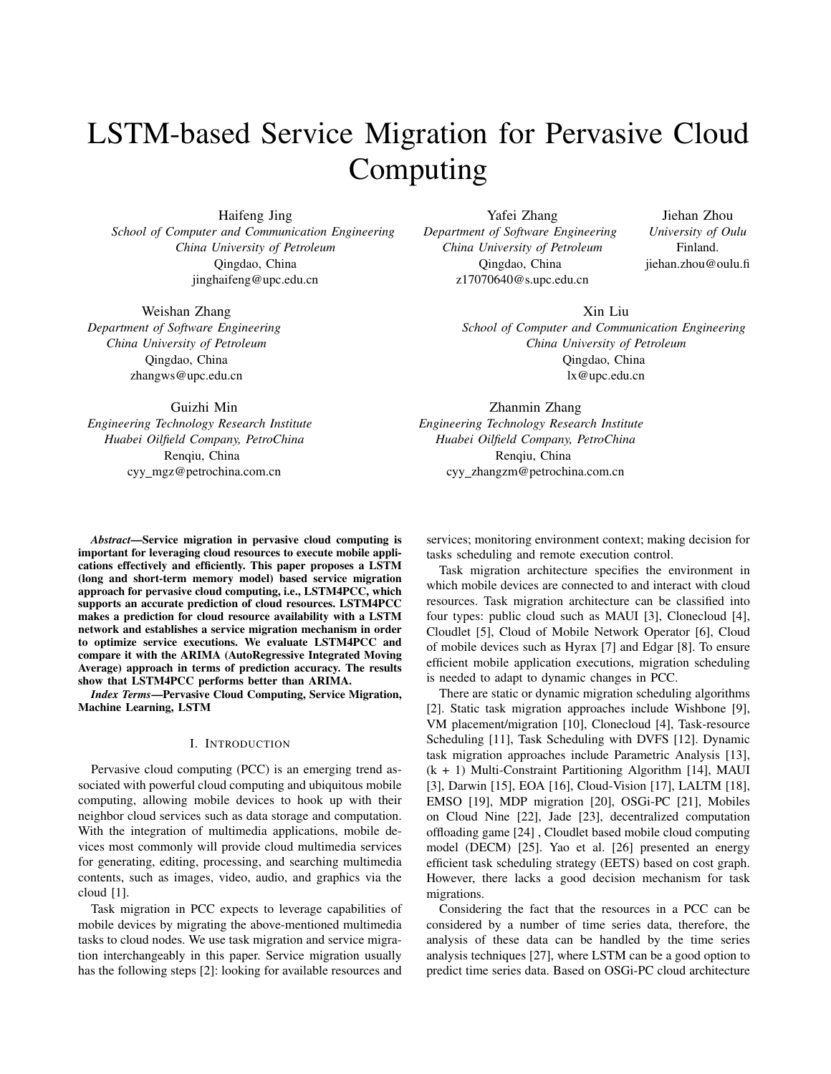# LSTM-based Service Migration for Pervasive Cloud Computing

Haifeng Jing *School of Computer and Communication Engineering China University of Petroleum* Qingdao, China jinghaifeng@upc.edu.cn

Yafei Zhang *Department of Software Engineering China University of Petroleum* Qingdao, China z17070640@s.upc.edu.cn

Zhanmin Zhang *Engineering Technology Research Institute Huabei Oilfield Company, PetroChina* Renqiu, China cyy zhangzm@petrochina.com.cn

Jiehan Zhou *University of Oulu* Finland. jiehan.zhou@oulu.fi

Xin Liu

*School of Computer and Communication Engineering China University of Petroleum* Qingdao, China lx@upc.edu.cn

Guizhi Min *Engineering Technology Research Institute Huabei Oilfield Company, PetroChina* Renqiu, China cyy mgz@petrochina.com.cn

*Abstract*—Service migration in pervasive cloud computing is important for leveraging cloud resources to execute mobile applications effectively and efficiently. This paper proposes a LSTM (long and short-term memory model) based service migration approach for pervasive cloud computing, i.e., LSTM4PCC, which supports an accurate prediction of cloud resources. LSTM4PCC makes a prediction for cloud resource availability with a LSTM network and establishes a service migration mechanism in order to optimize service executions. We evaluate LSTM4PCC and compare it with the ARIMA (AutoRegressive Integrated Moving Average) approach in terms of prediction accuracy. The results show that LSTM4PCC performs better than ARIMA.

*Index Terms*—Pervasive Cloud Computing, Service Migration, Machine Learning, LSTM

# I. INTRODUCTION

Pervasive cloud computing (PCC) is an emerging trend associated with powerful cloud computing and ubiquitous mobile computing, allowing mobile devices to hook up with their neighbor cloud services such as data storage and computation. With the integration of multimedia applications, mobile devices most commonly will provide cloud multimedia services for generating, editing, processing, and searching multimedia contents, such as images, video, audio, and graphics via the cloud [1].

Task migration in PCC expects to leverage capabilities of mobile devices by migrating the above-mentioned multimedia tasks to cloud nodes. We use task migration and service migration interchangeably in this paper. Service migration usually has the following steps [2]: looking for available resources and services; monitoring environment context; making decision for tasks scheduling and remote execution control.

Task migration architecture specifies the environment in which mobile devices are connected to and interact with cloud resources. Task migration architecture can be classified into four types: public cloud such as MAUI [3], Clonecloud [4], Cloudlet [5], Cloud of Mobile Network Operator [6], Cloud of mobile devices such as Hyrax [7] and Edgar [8]. To ensure efficient mobile application executions, migration scheduling is needed to adapt to dynamic changes in PCC.

There are static or dynamic migration scheduling algorithms [2]. Static task migration approaches include Wishbone [9], VM placement/migration [10], Clonecloud [4], Task-resource Scheduling [11], Task Scheduling with DVFS [12]. Dynamic task migration approaches include Parametric Analysis [13], (k + 1) Multi-Constraint Partitioning Algorithm [14], MAUI [3], Darwin [15], EOA [16], Cloud-Vision [17], LALTM [18], EMSO [19], MDP migration [20], OSGi-PC [21], Mobiles on Cloud Nine [22], Jade [23], decentralized computation offloading game [24] , Cloudlet based mobile cloud computing model (DECM) [25]. Yao et al. [26] presented an energy efficient task scheduling strategy (EETS) based on cost graph. However, there lacks a good decision mechanism for task migrations.

Considering the fact that the resources in a PCC can be considered by a number of time series data, therefore, the analysis of these data can be handled by the time series analysis techniques [27], where LSTM can be a good option to predict time series data. Based on OSGi-PC cloud architecture

Weishan Zhang

*Department of Software Engineering China University of Petroleum* Qingdao, China zhangws@upc.edu.cn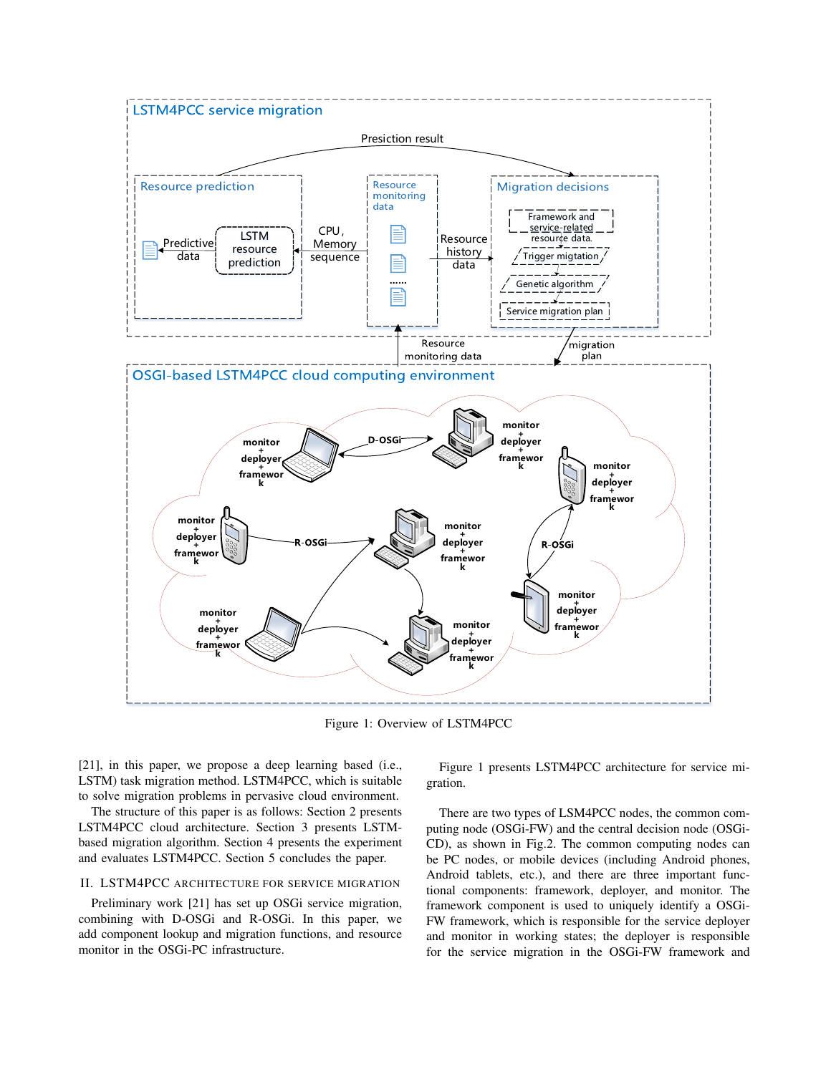

Figure 1: Overview of LSTM4PCC

[21], in this paper, we propose a deep learning based (i.e., LSTM) task migration method. LSTM4PCC, which is suitable to solve migration problems in pervasive cloud environment.

The structure of this paper is as follows: Section 2 presents LSTM4PCC cloud architecture. Section 3 presents LSTMbased migration algorithm. Section 4 presents the experiment and evaluates LSTM4PCC. Section 5 concludes the paper.

# II. LSTM4PCC ARCHITECTURE FOR SERVICE MIGRATION

Preliminary work [21] has set up OSGi service migration, combining with D-OSGi and R-OSGi. In this paper, we add component lookup and migration functions, and resource monitor in the OSGi-PC infrastructure.

Figure 1 presents LSTM4PCC architecture for service migration.

There are two types of LSM4PCC nodes, the common computing node (OSGi-FW) and the central decision node (OSGi-CD), as shown in Fig.2. The common computing nodes can be PC nodes, or mobile devices (including Android phones, Android tablets, etc.), and there are three important functional components: framework, deployer, and monitor. The framework component is used to uniquely identify a OSGi-FW framework, which is responsible for the service deployer and monitor in working states; the deployer is responsible for the service migration in the OSGi-FW framework and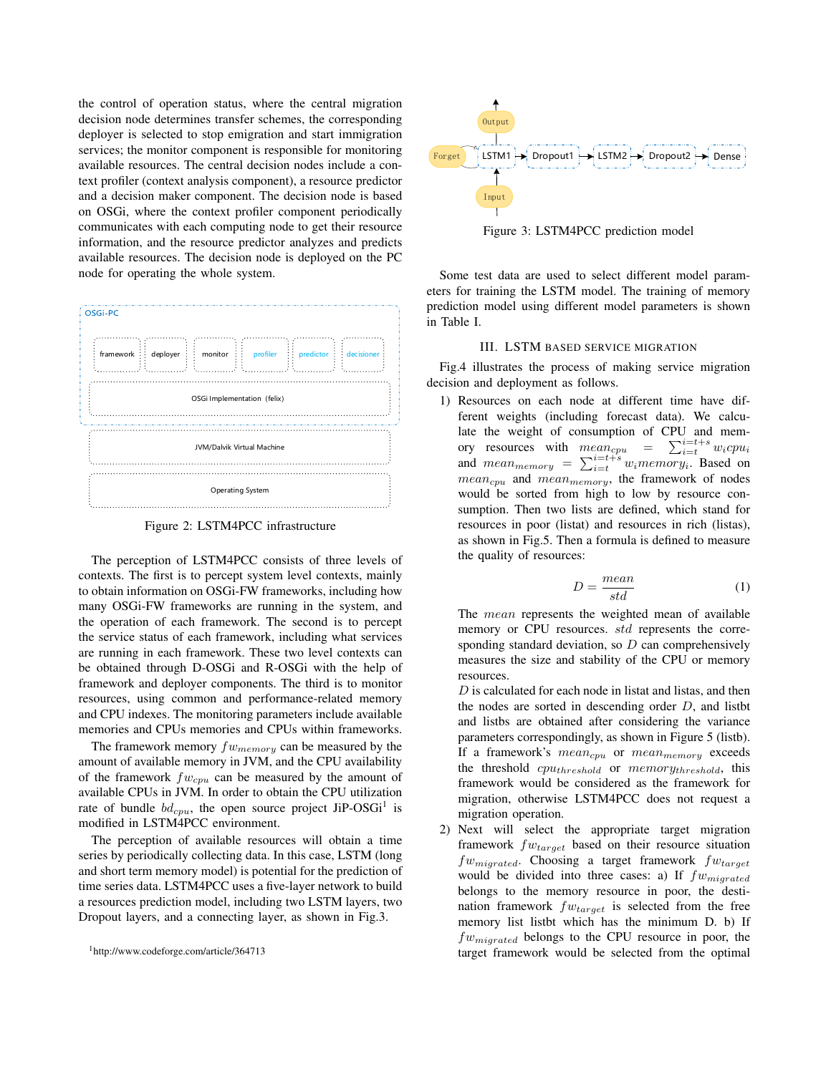the control of operation status, where the central migration decision node determines transfer schemes, the corresponding deployer is selected to stop emigration and start immigration services; the monitor component is responsible for monitoring available resources. The central decision nodes include a context profiler (context analysis component), a resource predictor and a decision maker component. The decision node is based on OSGi, where the context profiler component periodically communicates with each computing node to get their resource information, and the resource predictor analyzes and predicts available resources. The decision node is deployed on the PC node for operating the whole system.



Figure 2: LSTM4PCC infrastructure

The perception of LSTM4PCC consists of three levels of contexts. The first is to percept system level contexts, mainly to obtain information on OSGi-FW frameworks, including how many OSGi-FW frameworks are running in the system, and the operation of each framework. The second is to percept the service status of each framework, including what services are running in each framework. These two level contexts can be obtained through D-OSGi and R-OSGi with the help of framework and deployer components. The third is to monitor resources, using common and performance-related memory and CPU indexes. The monitoring parameters include available memories and CPUs memories and CPUs within frameworks.

The framework memory  $fw_{memory}$  can be measured by the amount of available memory in JVM, and the CPU availability of the framework  $fw_{cpu}$  can be measured by the amount of available CPUs in JVM. In order to obtain the CPU utilization rate of bundle  $bd_{cpu}$ , the open source project JiP-OSGi<sup>1</sup> is modified in LSTM4PCC environment.

The perception of available resources will obtain a time series by periodically collecting data. In this case, LSTM (long and short term memory model) is potential for the prediction of time series data. LSTM4PCC uses a five-layer network to build a resources prediction model, including two LSTM layers, two Dropout layers, and a connecting layer, as shown in Fig.3.



Figure 3: LSTM4PCC prediction model

Some test data are used to select different model parameters for training the LSTM model. The training of memory prediction model using different model parameters is shown in Table I.

# III. LSTM BASED SERVICE MIGRATION

Fig.4 illustrates the process of making service migration decision and deployment as follows.

1) Resources on each node at different time have different weights (including forecast data). We calculate the weight of consumption of CPU and memory resources with  $mean_{cpu}$  =  $\prod_{i=t}^{i=t+s} w_i c p u_i$ and  $mean_{memory} = \sum_{i=t}^{i=t+s} w_i memory_i$ . Based on  $mean_{cpu}$  and  $mean_{memory}$ , the framework of nodes would be sorted from high to low by resource consumption. Then two lists are defined, which stand for resources in poor (listat) and resources in rich (listas), as shown in Fig.5. Then a formula is defined to measure the quality of resources:

$$
D = \frac{mean}{std} \tag{1}
$$

The *mean* represents the weighted mean of available memory or CPU resources. *std* represents the corresponding standard deviation, so  $D$  can comprehensively measures the size and stability of the CPU or memory resources.

 $D$  is calculated for each node in listat and listas, and then the nodes are sorted in descending order  $D$ , and listbt and listbs are obtained after considering the variance parameters correspondingly, as shown in Figure 5 (listb). If a framework's  $mean_{cpu}$  or  $mean_{memory}$  exceeds the threshold  $cpu_{threshold}$  or  $memory_{threshold}$ , this framework would be considered as the framework for migration, otherwise LSTM4PCC does not request a migration operation.

2) Next will select the appropriate target migration framework  $f_{Wtarget}$  based on their resource situation  $fw_{migned}$ . Choosing a target framework  $fw_{target}$ would be divided into three cases: a) If  $fw_{miarded}$ belongs to the memory resource in poor, the destination framework  $fw_{target}$  is selected from the free memory list listbt which has the minimum D. b) If  $fw_{migrated}$  belongs to the CPU resource in poor, the target framework would be selected from the optimal

<sup>1</sup>http://www.codeforge.com/article/364713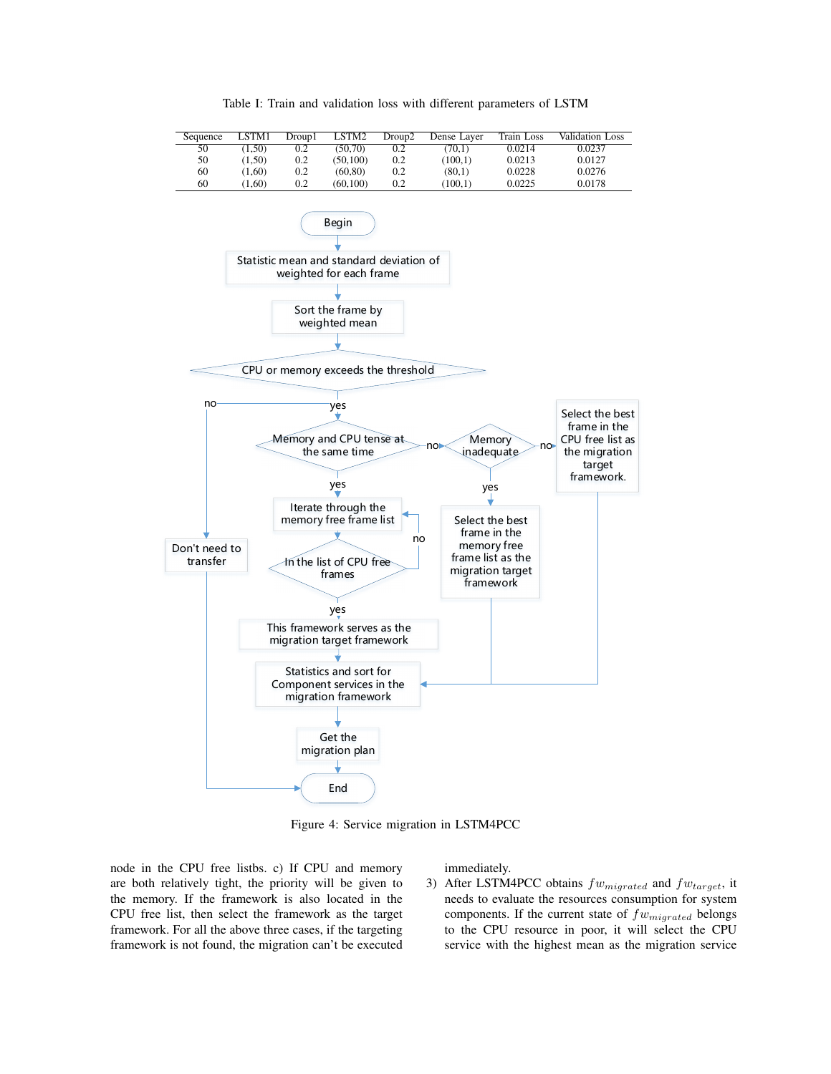

Table I: Train and validation loss with different parameters of LSTM

Figure 4: Service migration in LSTM4PCC

node in the CPU free listbs. c) If CPU and memory are both relatively tight, the priority will be given to the memory. If the framework is also located in the CPU free list, then select the framework as the target framework. For all the above three cases, if the targeting framework is not found, the migration can't be executed

immediately.

3) After LSTM4PCC obtains  $fw_{migneded}$  and  $fw_{target}$ , it needs to evaluate the resources consumption for system components. If the current state of  $fw_{migneded}$  belongs to the CPU resource in poor, it will select the CPU service with the highest mean as the migration service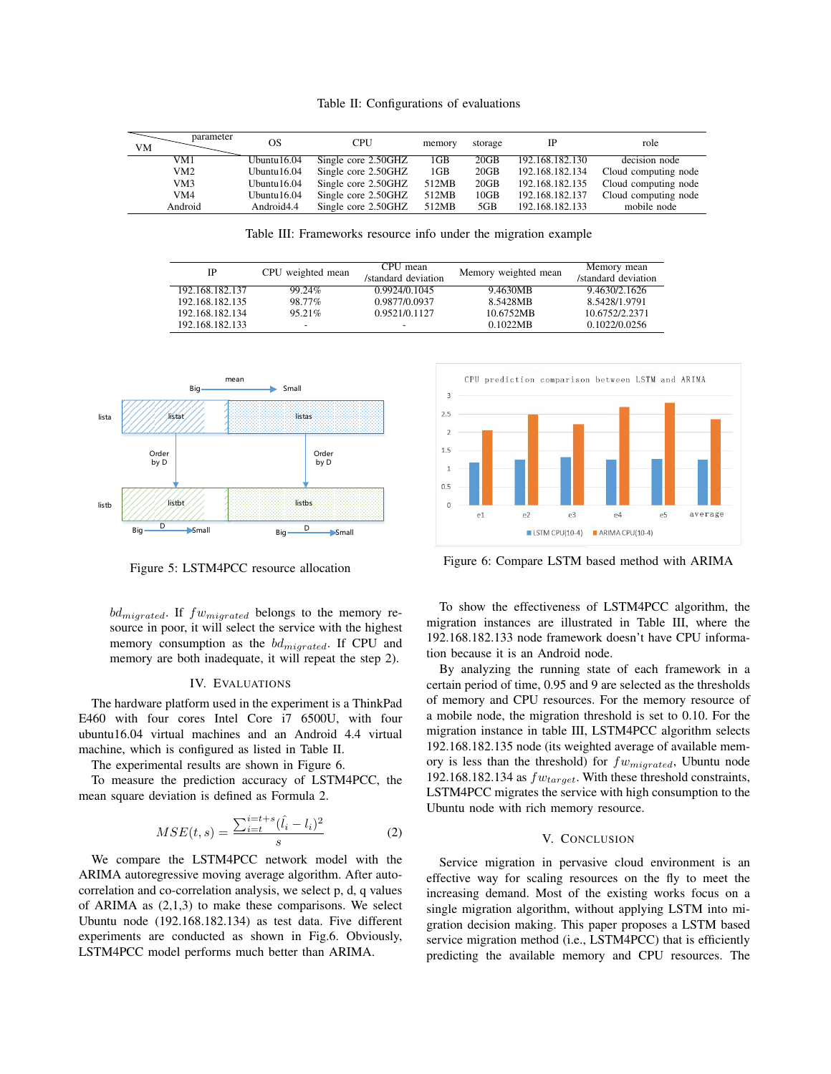Table II: Configurations of evaluations

| parameter<br>VМ | OS             | CPU                 | memory | storage |                 | role                 |
|-----------------|----------------|---------------------|--------|---------|-----------------|----------------------|
| VM1             | Ubuntu $16.04$ | Single core 2.50GHZ | 1GB    | 20GB    | 192.168.182.130 | decision node        |
| VM2             | Ubuntu $16.04$ | Single core 2.50GHZ | 1GB    | 20GB    | 192.168.182.134 | Cloud computing node |
| VM3             | Ubuntu $16.04$ | Single core 2.50GHZ | 512MB  | 20GB    | 192.168.182.135 | Cloud computing node |
| VM4             | Ubuntu $16.04$ | Single core 2.50GHZ | 512MB  | 10GB    | 192.168.182.137 | Cloud computing node |
| Android         | Android4.4     | Single core 2.50GHZ | 512MB  | 5GB     | 192.168.182.133 | mobile node          |

Table III: Frameworks resource info under the migration example

| <b>IP</b>       | CPU weighted mean | CPU mean<br>/standard deviation | Memory weighted mean | Memory mean<br>/standard deviation |
|-----------------|-------------------|---------------------------------|----------------------|------------------------------------|
| 192.168.182.137 | 99.24%            | 0.9924/0.1045                   | 9.4630MB             | 9.4630/2.1626                      |
| 192.168.182.135 | 98.77%            | 0.9877/0.0937                   | 8.5428MB             | 8.5428/1.9791                      |
| 192.168.182.134 | $95.21\%$         | 0.9521/0.1127                   | 10.6752MB            | 10.6752/2.2371                     |
| 192.168.182.133 | -                 |                                 | 0.1022MB             | 0.1022/0.0256                      |



Figure 5: LSTM4PCC resource allocation

 $bd_{migrated}$ . If  $fw_{migrated}$  belongs to the memory resource in poor, it will select the service with the highest memory consumption as the  $bd_{migneded}$ . If CPU and memory are both inadequate, it will repeat the step 2).

#### IV. EVALUATIONS

The hardware platform used in the experiment is a ThinkPad E460 with four cores Intel Core i7 6500U, with four ubuntu16.04 virtual machines and an Android 4.4 virtual machine, which is configured as listed in Table II.

The experimental results are shown in Figure 6.

To measure the prediction accuracy of LSTM4PCC, the mean square deviation is defined as Formula 2.

$$
MSE(t, s) = \frac{\sum_{i=t}^{i=t+s} (\hat{l}_i - l_i)^2}{s}
$$
 (2)

We compare the LSTM4PCC network model with the ARIMA autoregressive moving average algorithm. After autocorrelation and co-correlation analysis, we select p, d, q values of ARIMA as (2,1,3) to make these comparisons. We select Ubuntu node (192.168.182.134) as test data. Five different experiments are conducted as shown in Fig.6. Obviously, LSTM4PCC model performs much better than ARIMA.



Figure 6: Compare LSTM based method with ARIMA

To show the effectiveness of LSTM4PCC algorithm, the migration instances are illustrated in Table III, where the 192.168.182.133 node framework doesn't have CPU information because it is an Android node.

By analyzing the running state of each framework in a certain period of time, 0.95 and 9 are selected as the thresholds of memory and CPU resources. For the memory resource of a mobile node, the migration threshold is set to 0.10. For the migration instance in table III, LSTM4PCC algorithm selects 192.168.182.135 node (its weighted average of available memory is less than the threshold) for  $fw_{minrated}$ , Ubuntu node 192.168.182.134 as  $fw_{target}$ . With these threshold constraints, LSTM4PCC migrates the service with high consumption to the Ubuntu node with rich memory resource.

# V. CONCLUSION

Service migration in pervasive cloud environment is an effective way for scaling resources on the fly to meet the increasing demand. Most of the existing works focus on a single migration algorithm, without applying LSTM into migration decision making. This paper proposes a LSTM based service migration method (i.e., LSTM4PCC) that is efficiently predicting the available memory and CPU resources. The